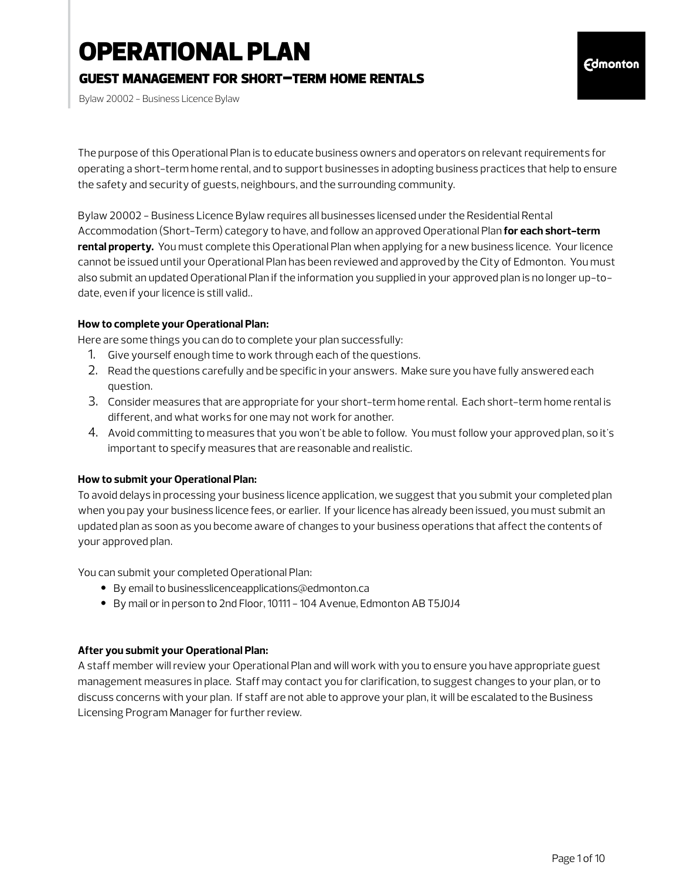# OPERATIONAL PLAN

### guest management for short-term home rentals

Bylaw 20002 - Business Licence Bylaw

The purpose of this Operational Plan is to educate business owners and operators on relevant requirements for operating a short-term home rental, and to support businesses in adopting business practices that help to ensure the safety and security of guests, neighbours, and the surrounding community.

Bylaw 20002 - Business Licence Bylaw requires all businesses licensed under the Residential Rental Accommodation (Short-Term) category to have, and follow an approved Operational Plan **for each short-term rental property.** You must complete this Operational Plan when applying for a new business licence. Your licence cannot be issued until your Operational Plan has been reviewed and approved by the City of Edmonton. You must also submit an updated Operational Plan if the information you supplied in your approved plan is no longer up-todate, even if your licence is still valid..

#### **How to complete your Operational Plan:**

Here are some things you can do to complete your plan successfully:

- 1. Give yourself enough time to work through each of the questions.
- 2. Read the questions carefully and be specific in your answers. Make sure you have fully answered each question.
- 3. Consider measures that are appropriate for your short-term home rental. Each short-term home rental is different, and what works for one may not work for another.
- 4. Avoid committing to measures that you won't be able to follow. You must follow your approved plan, so it's important to specify measures that are reasonable and realistic.

### **How to submit your Operational Plan:**

To avoid delays in processing your business licence application, we suggest that you submit your completed plan when you pay your business licence fees, or earlier. If your licence has already been issued, you must submit an updated plan as soon as you become aware of changes to your business operations that affect the contents of your approved plan.

You can submit your completed Operational Plan:

- By email to businesslicenceapplications@edmonton.ca
- By mail or in person to 2nd Floor, 10111 104 Avenue, Edmonton AB T5J0J4

#### **After you submit your Operational Plan:**

A staff member will review your Operational Plan and will work with you to ensure you have appropriate guest management measures in place. Staff may contact you for clarification, to suggest changes to your plan, or to discuss concerns with your plan. If staff are not able to approve your plan, it will be escalated to the Business Licensing Program Manager for further review.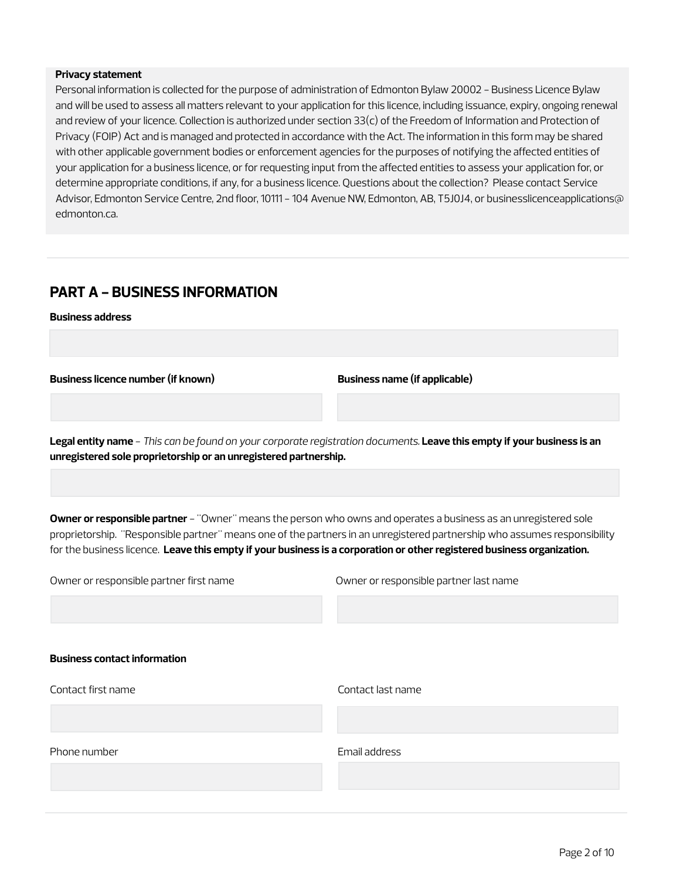#### **Privacy statement**

Personal information is collected for the purpose of administration of Edmonton Bylaw 20002 - Business Licence Bylaw and will be used to assess all matters relevant to your application for this licence, including issuance, expiry, ongoing renewal and review of your licence. Collection is authorized under section 33(c) of the Freedom of Information and Protection of Privacy (FOIP) Act and is managed and protected in accordance with the Act. The information in this form may be shared with other applicable government bodies or enforcement agencies for the purposes of notifying the affected entities of your application for a business licence, or for requesting input from the affected entities to assess your application for, or determine appropriate conditions, if any, for a business licence. Questions about the collection? Please contact Service Advisor, Edmonton Service Centre, 2nd floor, 10111 - 104 Avenue NW, Edmonton, AB, T5J0J4, or businesslicenceapplications@ edmonton.ca.

### **PART A - BUSINESS INFORMATION**

**Business address**

**Business licence number (if known) Business name (if applicable)**

**Legal entity name** - *This can be found on your corporate registration documents.* **Leave this empty if your business is an unregistered sole proprietorship or an unregistered partnership.**

**Owner or responsible partner** - "Owner" means the person who owns and operates a business as an unregistered sole proprietorship. "Responsible partner" means one of the partners in an unregistered partnership who assumes responsibility for the business licence. **Leave this empty if your business is a corporation or other registered business organization.**

| Owner or responsible partner first name | Owner or responsible partner last name |
|-----------------------------------------|----------------------------------------|
| <b>Business contact information</b>     |                                        |
| Contact first name                      | Contact last name                      |
| Phone number                            | Email address                          |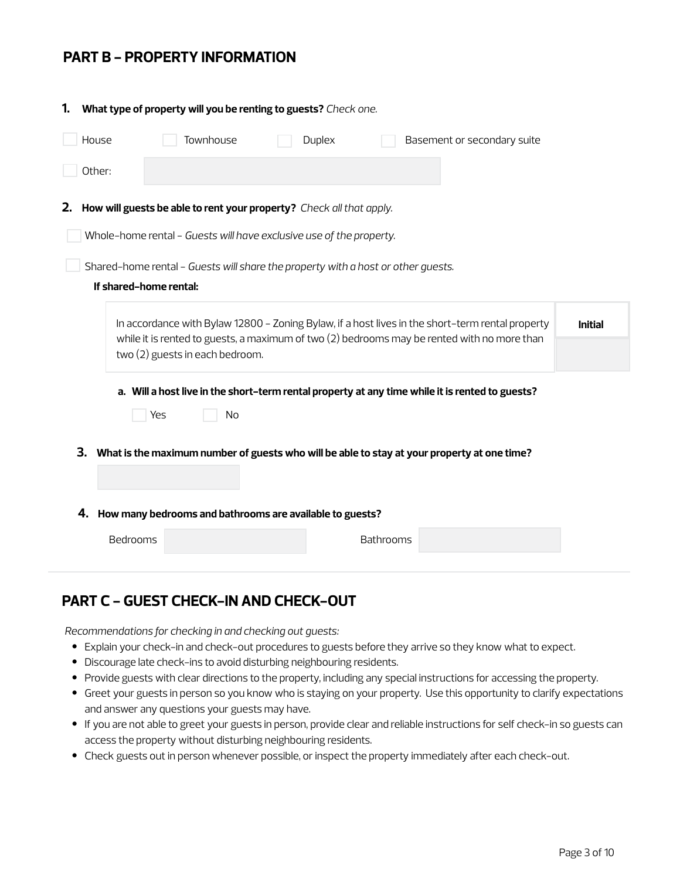### **PART B - PROPERTY INFORMATION**

| 1. |          | What type of property will you be renting to guests? Check one.                             |        |                  |                                                                                                                                                                                                 |                |
|----|----------|---------------------------------------------------------------------------------------------|--------|------------------|-------------------------------------------------------------------------------------------------------------------------------------------------------------------------------------------------|----------------|
|    | House    | Townhouse                                                                                   | Duplex |                  | Basement or secondary suite                                                                                                                                                                     |                |
|    | Other:   |                                                                                             |        |                  |                                                                                                                                                                                                 |                |
| 2. |          | How will guests be able to rent your property? Check all that apply.                        |        |                  |                                                                                                                                                                                                 |                |
|    |          | Whole-home rental - Guests will have exclusive use of the property.                         |        |                  |                                                                                                                                                                                                 |                |
|    |          | Shared-home rental - Guests will share the property with a host or other guests.            |        |                  |                                                                                                                                                                                                 |                |
|    |          | If shared-home rental:                                                                      |        |                  |                                                                                                                                                                                                 |                |
|    |          |                                                                                             |        |                  | In accordance with Bylaw 12800 - Zoning Bylaw, if a host lives in the short-term rental property<br>while it is rented to guests, a maximum of two (2) bedrooms may be rented with no more than | <b>Initial</b> |
|    |          | two (2) guests in each bedroom.                                                             |        |                  |                                                                                                                                                                                                 |                |
|    |          |                                                                                             |        |                  | a. Will a host live in the short-term rental property at any time while it is rented to guests?                                                                                                 |                |
|    |          | Yes<br>No                                                                                   |        |                  |                                                                                                                                                                                                 |                |
|    | 3.       | What is the maximum number of guests who will be able to stay at your property at one time? |        |                  |                                                                                                                                                                                                 |                |
|    |          |                                                                                             |        |                  |                                                                                                                                                                                                 |                |
|    | 4.       | How many bedrooms and bathrooms are available to guests?                                    |        |                  |                                                                                                                                                                                                 |                |
|    | Bedrooms |                                                                                             |        | <b>Bathrooms</b> |                                                                                                                                                                                                 |                |

## **PART C - GUEST CHECK-IN AND CHECK-OUT**

*Recommendations for checking in and checking out guests:*

- Explain your check-in and check-out procedures to guests before they arrive so they know what to expect.
- Discourage late check-ins to avoid disturbing neighbouring residents.
- Provide guests with clear directions to the property, including any special instructions for accessing the property.
- Greet your guests in person so you know who is staying on your property. Use this opportunity to clarify expectations and answer any questions your guests may have.
- If you are not able to greet your guests in person, provide clear and reliable instructions for self check-in so guests can access the property without disturbing neighbouring residents.
- Check guests out in person whenever possible, or inspect the property immediately after each check-out.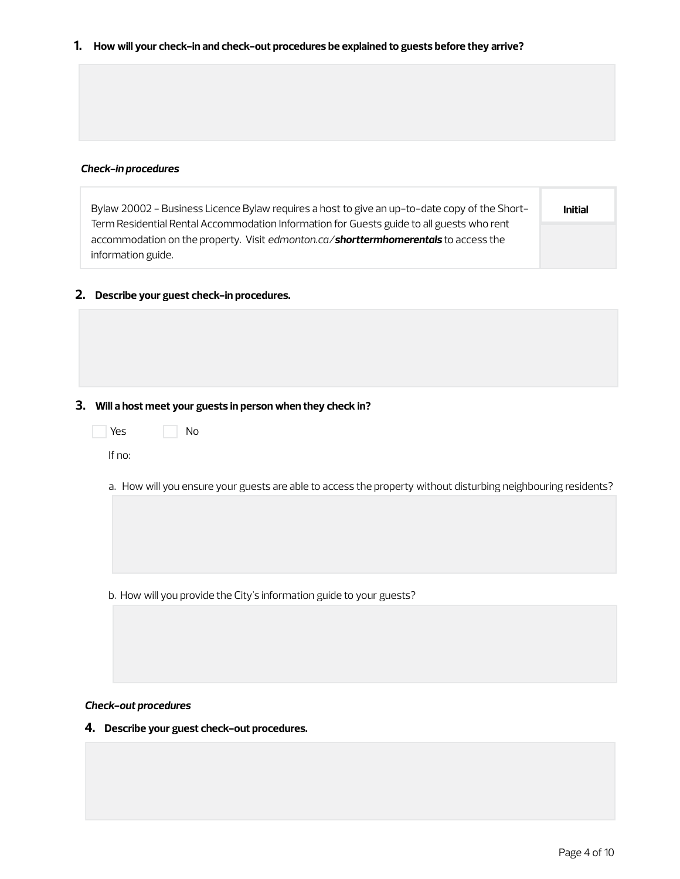**1. How will your check-in and check-out procedures be explained to guests before they arrive?**

#### *Check-in procedures*

| Bylaw 20002 - Business Licence Bylaw requires a host to give an up-to-date copy of the Short- | <b>Initial</b> |
|-----------------------------------------------------------------------------------------------|----------------|
| Term Residential Rental Accommodation Information for Guests guide to all guests who rent     |                |
| accommodation on the property. Visit edmonton.ca/ <b>shorttermhomerentals</b> to access the   |                |
| information guide.                                                                            |                |

#### **2. Describe your guest check-in procedures.**

#### **3. Will a host meet your guests in person when they check in?**

| Yes. | No |  |
|------|----|--|
| $-$  |    |  |

If no:

a. How will you ensure your guests are able to access the property without disturbing neighbouring residents?

b. How will you provide the City's information guide to your guests?

*Check-out procedures*

**4. Describe your guest check-out procedures.**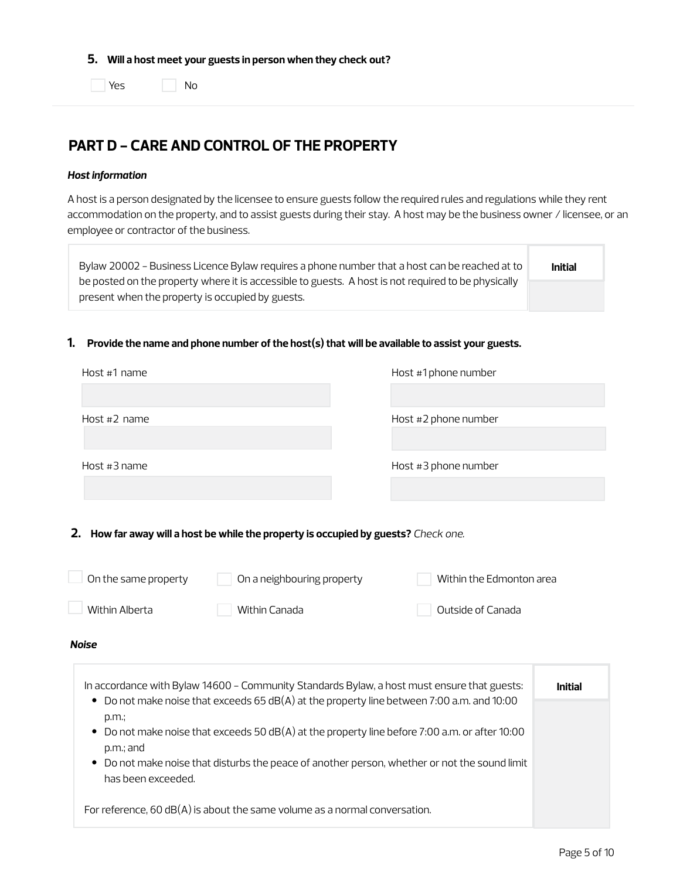**5. Will a host meet your guests in person when they check out?**

**No** Yes No

### **PART D - CARE AND CONTROL OF THE PROPERTY**

#### *Host information*

A host is a person designated by the licensee to ensure guests follow the required rules and regulations while they rent accommodation on the property, and to assist guests during their stay. A host may be the business owner / licensee, or an employee or contractor of the business.

| Bylaw 20002 - Business Licence Bylaw requires a phone number that a host can be reached at to       | <b>Initial</b> |
|-----------------------------------------------------------------------------------------------------|----------------|
| be posted on the property where it is accessible to guests. A host is not required to be physically |                |
| present when the property is occupied by guests.                                                    |                |

#### **1. Provide the name and phone number of the host(s) that will be available to assist your guests.**

| Host #1 name   | Host #1 phone number |
|----------------|----------------------|
|                |                      |
| Host $#2$ name | Host #2 phone number |
| Host $#3$ name | Host #3 phone number |
|                |                      |
|                |                      |

**2. How far away will a host be while the property is occupied by guests?** *Check one.*

| On the same property                                                             | On a neighbouring property                                                                                                                                                                                                                                                                                                                                                                 | Within the Edmonton area |                |
|----------------------------------------------------------------------------------|--------------------------------------------------------------------------------------------------------------------------------------------------------------------------------------------------------------------------------------------------------------------------------------------------------------------------------------------------------------------------------------------|--------------------------|----------------|
| Within Alberta                                                                   | Within Canada                                                                                                                                                                                                                                                                                                                                                                              | Outside of Canada        |                |
| <b>Noise</b>                                                                     |                                                                                                                                                                                                                                                                                                                                                                                            |                          |                |
| $\bullet$<br>p.m.<br>$\bullet$<br>$p.m.:$ and<br>$\bullet$<br>has been exceeded. | In accordance with Bylaw 14600 - Community Standards Bylaw, a host must ensure that guests:<br>Do not make noise that exceeds $65$ dB(A) at the property line between 7:00 a.m. and 10:00<br>Do not make noise that exceeds 50 $dB(A)$ at the property line before 7:00 a.m. or after 10:00<br>Do not make noise that disturbs the peace of another person, whether or not the sound limit |                          | <b>Initial</b> |

For reference, 60 dB(A) is about the same volume as a normal conversation.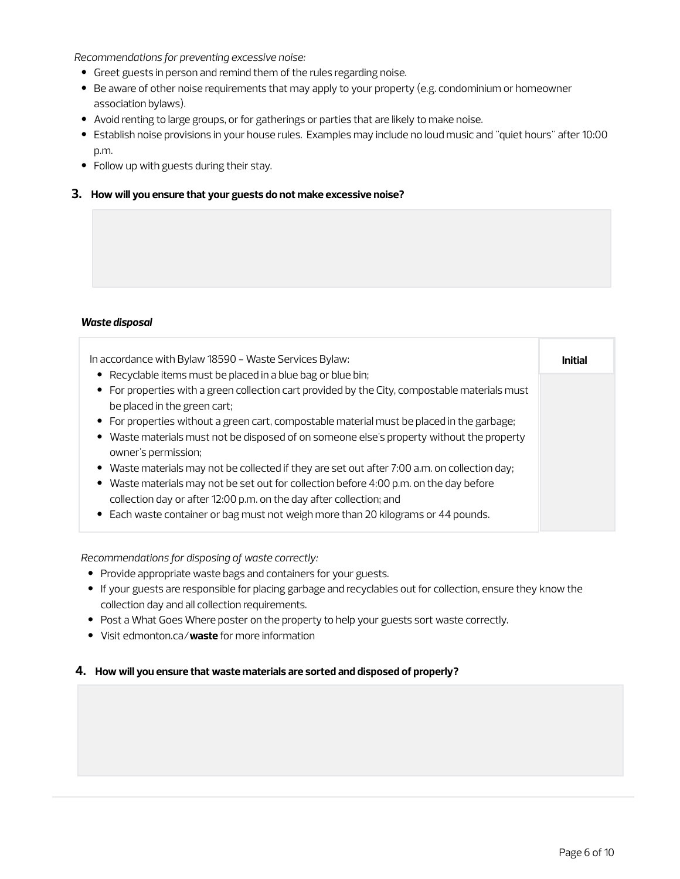*Recommendations for preventing excessive noise:*

- Greet guests in person and remind them of the rules regarding noise.
- Be aware of other noise requirements that may apply to your property (e.g. condominium or homeowner association bylaws).
- Avoid renting to large groups, or for gatherings or parties that are likely to make noise.
- Establish noise provisions in your house rules. Examples may include no loud music and "quiet hours" after 10:00 p.m.
- Follow up with guests during their stay.

#### **3. How will you ensure that your guests do not make excessive noise?**

#### *Waste disposal*

| In accordance with Bylaw 18590 - Waste Services Bylaw:                                         | Initial |
|------------------------------------------------------------------------------------------------|---------|
| • Recyclable items must be placed in a blue bag or blue bin;                                   |         |
| • For properties with a green collection cart provided by the City, compostable materials must |         |
| be placed in the green cart;                                                                   |         |
| • For properties without a green cart, compostable material must be placed in the garbage;     |         |
| • Waste materials must not be disposed of on someone else's property without the property      |         |
| owner's permission;                                                                            |         |
| • Waste materials may not be collected if they are set out after 7:00 a.m. on collection day;  |         |
| • Waste materials may not be set out for collection before 4:00 p.m. on the day before         |         |
| collection day or after 12:00 p.m. on the day after collection; and                            |         |
| • Each waste container or bag must not weigh more than 20 kilograms or 44 pounds.              |         |

*Recommendations for disposing of waste correctly:*

- Provide appropriate waste bags and containers for your guests.
- If your guests are responsible for placing garbage and recyclables out for collection, ensure they know the collection day and all collection requirements.
- Post a What Goes Where poster on the property to help your guests sort waste correctly.
- Visit edmonton.ca/**waste** for more information

#### **4. How will you ensure that waste materials are sorted and disposed of properly?**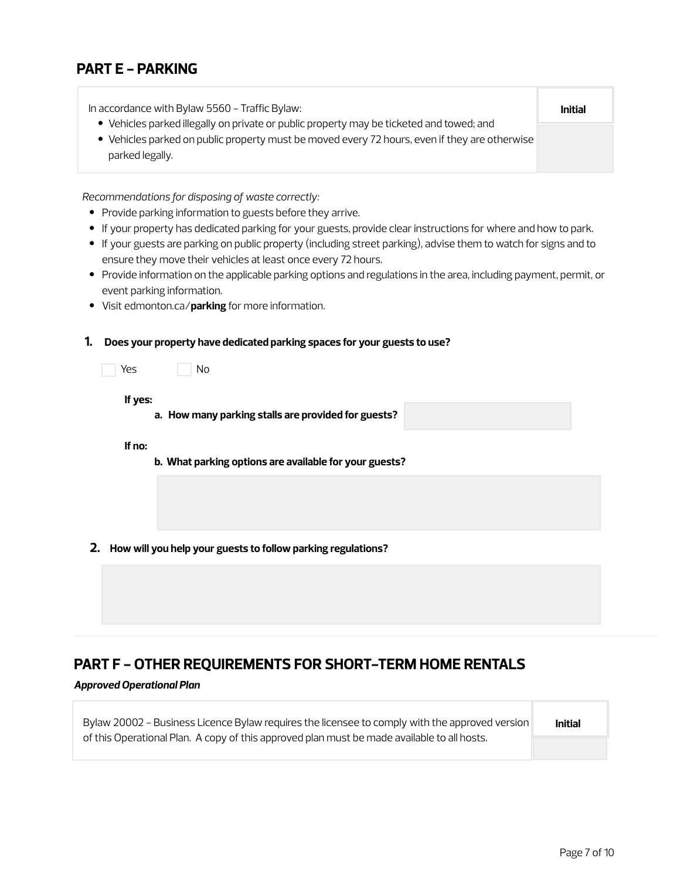### **PART E - PARKING**

| In accordance with Bylaw 5560 - Traffic Bylaw:                                                                                                                                                               | <b>Initial</b> |
|--------------------------------------------------------------------------------------------------------------------------------------------------------------------------------------------------------------|----------------|
| • Vehicles parked illegally on private or public property may be ticketed and towed; and<br>• Vehicles parked on public property must be moved every 72 hours, even if they are otherwise<br>parked legally. |                |
|                                                                                                                                                                                                              |                |

*Recommendations for disposing of waste correctly:*

- Provide parking information to guests before they arrive.
- If your property has dedicated parking for your guests, provide clear instructions for where and how to park.
- If your guests are parking on public property (including street parking), advise them to watch for signs and to ensure they move their vehicles at least once every 72 hours.
- Provide information on the applicable parking options and regulations in the area, including payment, permit, or event parking information.
- Visit edmonton.ca/**parking** for more information.

#### **1. Does your property have dedicated parking spaces for your guests to use?**

| Yes | N <sub>0</sub> |
|-----|----------------|
|     |                |

**If yes:**

**a. How many parking stalls are provided for guests?**

#### **If no:**

- **b. What parking options are available for your guests?**
- **2. How will you help your guests to follow parking regulations?**

### **PART F - OTHER REQUIREMENTS FOR SHORT-TERM HOME RENTALS**

#### *Approved Operational Plan*

| Bylaw 20002 - Business Licence Bylaw requires the licensee to comply with the approved version | <b>Initial</b> |
|------------------------------------------------------------------------------------------------|----------------|
| of this Operational Plan. A copy of this approved plan must be made available to all hosts.    |                |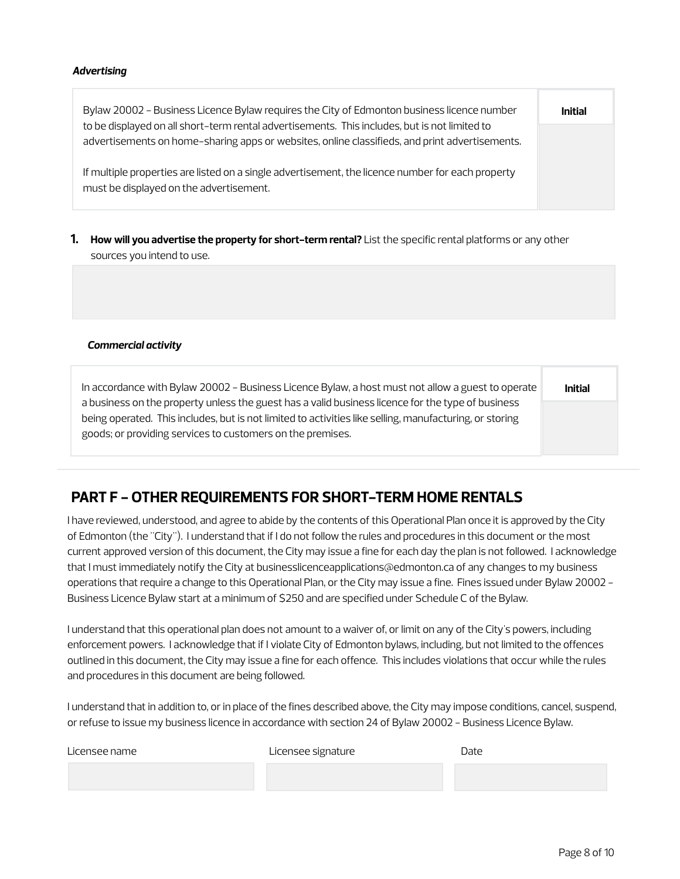#### *Advertising*

| Bylaw 20002 - Business Licence Bylaw requires the City of Edmonton business licence number                                                                                                      | <b>Initial</b> |
|-------------------------------------------------------------------------------------------------------------------------------------------------------------------------------------------------|----------------|
| to be displayed on all short-term rental advertisements. This includes, but is not limited to<br>advertisements on home-sharing apps or websites, online classifieds, and print advertisements. |                |
| If multiple properties are listed on a single advertisement, the licence number for each property<br>must be displayed on the advertisement.                                                    |                |

**1. How will you advertise the property for short-term rental?** List the specific rental platforms or any other sources you intend to use.

#### *Commercial activity*

| In accordance with Bylaw 20002 - Business Licence Bylaw, a host must not allow a guest to operate                                                                                                            | <b>Initial</b> |
|--------------------------------------------------------------------------------------------------------------------------------------------------------------------------------------------------------------|----------------|
| a business on the property unless the guest has a valid business licence for the type of business<br>being operated. This includes, but is not limited to activities like selling, manufacturing, or storing |                |
| goods; or providing services to customers on the premises.                                                                                                                                                   |                |

### **PART F - OTHER REQUIREMENTS FOR SHORT-TERM HOME RENTALS**

I have reviewed, understood, and agree to abide by the contents of this Operational Plan once it is approved by the City of Edmonton (the "City"). I understand that if I do not follow the rules and procedures in this document or the most current approved version of this document, the City may issue a fine for each day the plan is not followed. I acknowledge that I must immediately notify the City at businesslicenceapplications@edmonton.ca of any changes to my business operations that require a change to this Operational Plan, or the City may issue a fine. Fines issued under Bylaw 20002 - Business Licence Bylaw start at a minimum of \$250 and are specified under Schedule C of the Bylaw.

I understand that this operational plan does not amount to a waiver of, or limit on any of the City's powers, including enforcement powers. I acknowledge that if I violate City of Edmonton bylaws, including, but not limited to the offences outlined in this document, the City may issue a fine for each offence. This includes violations that occur while the rules and procedures in this document are being followed.

I understand that in addition to, or in place of the fines described above, the City may impose conditions, cancel, suspend, or refuse to issue my business licence in accordance with section 24 of Bylaw 20002 - Business Licence Bylaw.

| Licensee name | Licensee signature | Date |
|---------------|--------------------|------|
|               |                    |      |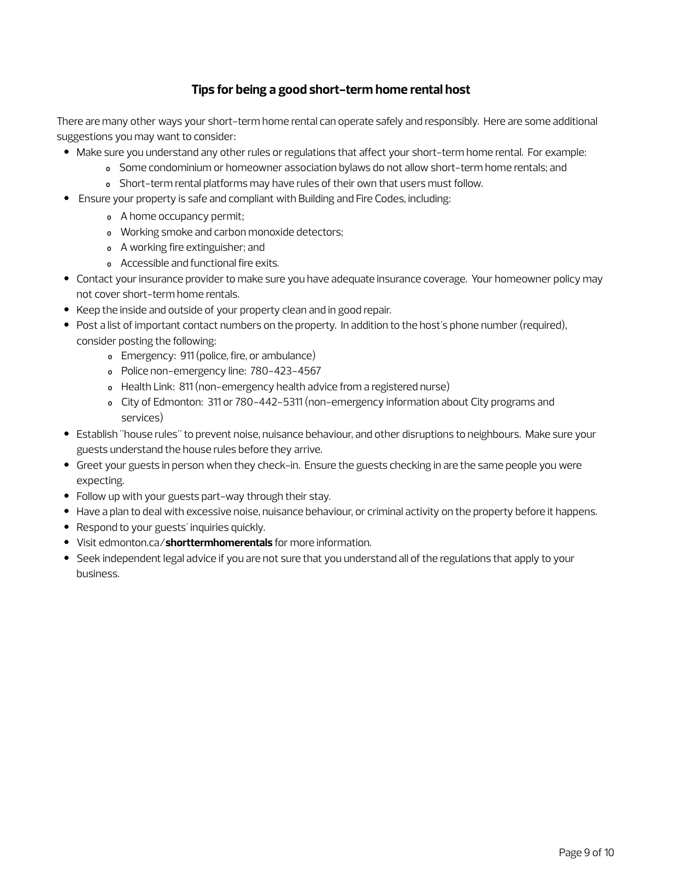### **Tips for being a good short-term home rental host**

There are many other ways your short-term home rental can operate safely and responsibly. Here are some additional suggestions you may want to consider:

- Make sure you understand any other rules or regulations that affect your short-term home rental. For example:
	- o Some condominium or homeowner association bylaws do not allow short-term home rentals; and
	- o Short-term rental platforms may have rules of their own that users must follow.
- Ensure your property is safe and compliant with Building and Fire Codes, including:
	- o A home occupancy permit;
	- o Working smoke and carbon monoxide detectors;
	- o A working fire extinguisher; and
	- o Accessible and functional fire exits.
- Contact your insurance provider to make sure you have adequate insurance coverage. Your homeowner policy may not cover short-term home rentals.
- Keep the inside and outside of your property clean and in good repair.
- Post a list of important contact numbers on the property. In addition to the host's phone number (required), consider posting the following:
	- o Emergency: 911 (police, fire, or ambulance)
	- o Police non-emergency line: 780-423-4567
	- o Health Link: 811 (non-emergency health advice from a registered nurse)
	- o City of Edmonton: 311 or 780-442-5311 (non-emergency information about City programs and services)
- Establish "house rules" to prevent noise, nuisance behaviour, and other disruptions to neighbours. Make sure your guests understand the house rules before they arrive.
- Greet your guests in person when they check-in. Ensure the guests checking in are the same people you were expecting.
- Follow up with your guests part-way through their stay.
- Have a plan to deal with excessive noise, nuisance behaviour, or criminal activity on the property before it happens.
- Respond to your guests' inquiries quickly.
- Visit edmonton.ca/**shorttermhomerentals** for more information.
- Seek independent legal advice if you are not sure that you understand all of the regulations that apply to your business.